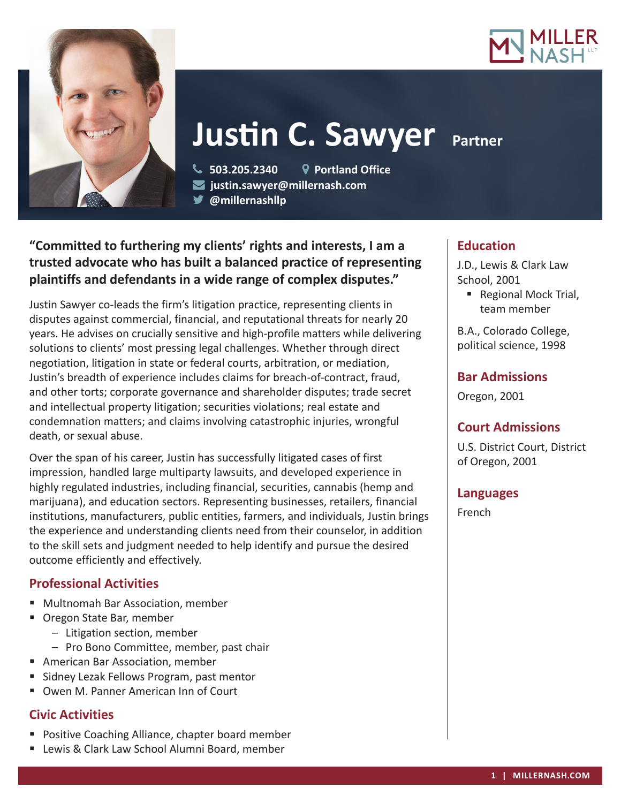



# **Justin C. Sawyer Partner**

 **503.205.2340 Portland Office justin.sawyer@millernash.com** 

**@millernashllp** 

# **"Committed to furthering my clients' rights and interests, I am a trusted advocate who has built a balanced practice of representing plaintiffs and defendants in a wide range of complex disputes."**

Justin Sawyer co-leads the firm's litigation practice, representing clients in disputes against commercial, financial, and reputational threats for nearly 20 years. He advises on crucially sensitive and high-profile matters while delivering solutions to clients' most pressing legal challenges. Whether through direct negotiation, litigation in state or federal courts, arbitration, or mediation, Justin's breadth of experience includes claims for breach-of-contract, fraud, and other torts; corporate governance and shareholder disputes; trade secret and intellectual property litigation; securities violations; real estate and condemnation matters; and claims involving catastrophic injuries, wrongful death, or sexual abuse.

Over the span of his career, Justin has successfully litigated cases of first impression, handled large multiparty lawsuits, and developed experience in highly regulated industries, including financial, securities, cannabis (hemp and marijuana), and education sectors. Representing businesses, retailers, financial institutions, manufacturers, public entities, farmers, and individuals, Justin brings the experience and understanding clients need from their counselor, in addition to the skill sets and judgment needed to help identify and pursue the desired outcome efficiently and effectively.

# **Professional Activities**

- Multnomah Bar Association, member
- **Oregon State Bar, member** 
	- Litigation section, member
	- Pro Bono Committee, member, past chair
- American Bar Association, member
- Sidney Lezak Fellows Program, past mentor
- Owen M. Panner American Inn of Court

## **Civic Activities**

- **Positive Coaching Alliance, chapter board member**
- **E** Lewis & Clark Law School Alumni Board, member

# **Education**

J.D., Lewis & Clark Law School, 2001

■ Regional Mock Trial, team member

B.A., Colorado College, political science, 1998

## **Bar Admissions**

Oregon, 2001

# **Court Admissions**

U.S. District Court, District of Oregon, 2001

## **Languages**

French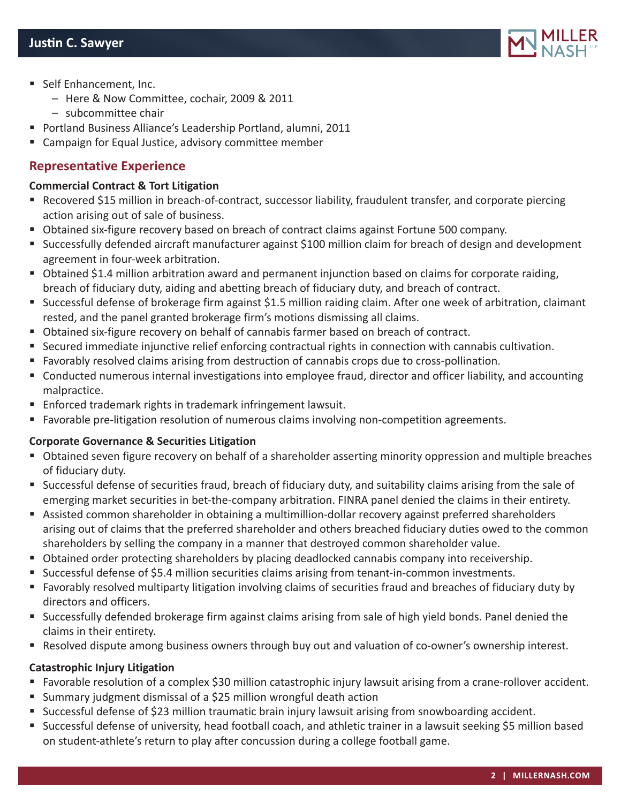

- Self Enhancement, Inc.
	- Here & Now Committee, cochair, 2009 & 2011
	- subcommittee chair
- Portland Business Alliance's Leadership Portland, alumni, 2011
- Campaign for Equal Justice, advisory committee member

## **Representative Experience**

#### **Commercial Contract & Tort Litigation**

- Recovered \$15 million in breach-of-contract, successor liability, fraudulent transfer, and corporate piercing action arising out of sale of business.
- Obtained six-figure recovery based on breach of contract claims against Fortune 500 company.
- Successfully defended aircraft manufacturer against \$100 million claim for breach of design and development agreement in four-week arbitration.
- Obtained \$1.4 million arbitration award and permanent injunction based on claims for corporate raiding, breach of fiduciary duty, aiding and abetting breach of fiduciary duty, and breach of contract.
- Successful defense of brokerage firm against \$1.5 million raiding claim. After one week of arbitration, claimant rested, and the panel granted brokerage firm's motions dismissing all claims.
- Obtained six-figure recovery on behalf of cannabis farmer based on breach of contract.
- Secured immediate injunctive relief enforcing contractual rights in connection with cannabis cultivation.
- Favorably resolved claims arising from destruction of cannabis crops due to cross-pollination.
- Conducted numerous internal investigations into employee fraud, director and officer liability, and accounting malpractice.
- Enforced trademark rights in trademark infringement lawsuit.
- Favorable pre-litigation resolution of numerous claims involving non-competition agreements.

## **Corporate Governance & Securities Litigation**

- Obtained seven figure recovery on behalf of a shareholder asserting minority oppression and multiple breaches of fiduciary duty.
- Successful defense of securities fraud, breach of fiduciary duty, and suitability claims arising from the sale of emerging market securities in bet-the-company arbitration. FINRA panel denied the claims in their entirety.
- Assisted common shareholder in obtaining a multimillion-dollar recovery against preferred shareholders arising out of claims that the preferred shareholder and others breached fiduciary duties owed to the common shareholders by selling the company in a manner that destroyed common shareholder value.
- Obtained order protecting shareholders by placing deadlocked cannabis company into receivership.
- **Successful defense of \$5.4 million securities claims arising from tenant-in-common investments.**
- Favorably resolved multiparty litigation involving claims of securities fraud and breaches of fiduciary duty by directors and officers.
- Successfully defended brokerage firm against claims arising from sale of high yield bonds. Panel denied the claims in their entirety.
- **Resolved dispute among business owners through buy out and valuation of co-owner's ownership interest.**

## **Catastrophic Injury Litigation**

- Favorable resolution of a complex \$30 million catastrophic injury lawsuit arising from a crane-rollover accident.
- Summary judgment dismissal of a \$25 million wrongful death action
- **Successful defense of \$23 million traumatic brain injury lawsuit arising from snowboarding accident.**
- Successful defense of university, head football coach, and athletic trainer in a lawsuit seeking \$5 million based on student-athlete's return to play after concussion during a college football game.